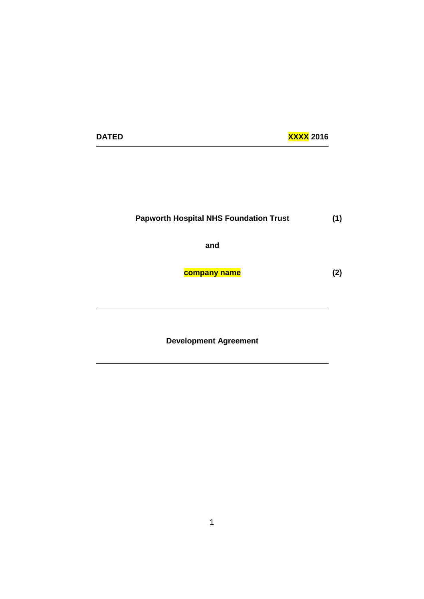| <b>XXXX 2016</b> |  |
|------------------|--|
|------------------|--|

**DATED** 

#### **Papworth Hospital NHS Foundation Trust (1)**

**and**

**company name**

**(2)**

**Development Agreement**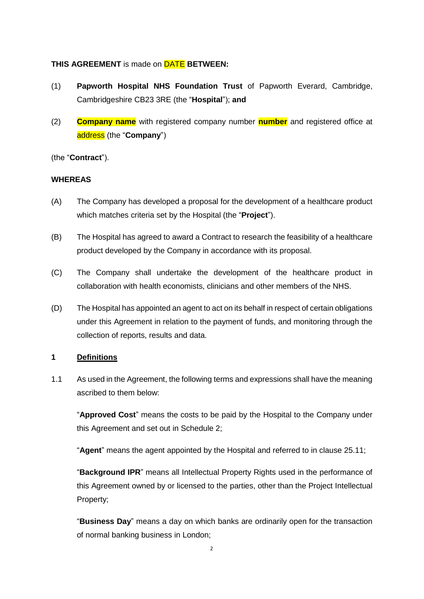#### **THIS AGREEMENT** is made on DATE **BETWEEN:**

- (1) **Papworth Hospital NHS Foundation Trust** of Papworth Everard, Cambridge, Cambridgeshire CB23 3RE (the "**Hospital**"); **and**
- (2) **Company name** with registered company number **number** and registered office at address (the "**Company**")

(the "**Contract**").

### **WHEREAS**

- (A) The Company has developed a proposal for the development of a healthcare product which matches criteria set by the Hospital (the "**Project**").
- (B) The Hospital has agreed to award a Contract to research the feasibility of a healthcare product developed by the Company in accordance with its proposal.
- (C) The Company shall undertake the development of the healthcare product in collaboration with health economists, clinicians and other members of the NHS.
- (D) The Hospital has appointed an agent to act on its behalf in respect of certain obligations under this Agreement in relation to the payment of funds, and monitoring through the collection of reports, results and data.

### **1 Definitions**

1.1 As used in the Agreement, the following terms and expressions shall have the meaning ascribed to them below:

"**Approved Cost**" means the costs to be paid by the Hospital to the Company under this Agreement and set out in Schedule 2;

"**Agent**" means the agent appointed by the Hospital and referred to in clause 25.11;

"**Background IPR**" means all Intellectual Property Rights used in the performance of this Agreement owned by or licensed to the parties, other than the Project Intellectual Property;

"**Business Day**" means a day on which banks are ordinarily open for the transaction of normal banking business in London;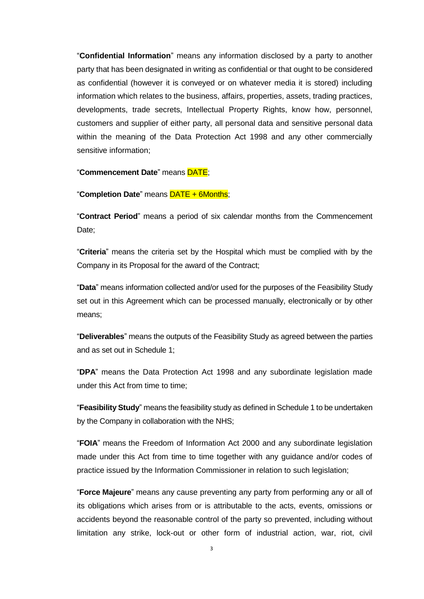"**Confidential Information**" means any information disclosed by a party to another party that has been designated in writing as confidential or that ought to be considered as confidential (however it is conveyed or on whatever media it is stored) including information which relates to the business, affairs, properties, assets, trading practices, developments, trade secrets, Intellectual Property Rights, know how, personnel, customers and supplier of either party, all personal data and sensitive personal data within the meaning of the Data Protection Act 1998 and any other commercially sensitive information;

#### "**Commencement Date**" means DATE;

#### "**Completion Date**" means DATE + 6Months;

"**Contract Period**" means a period of six calendar months from the Commencement Date:

"**Criteria**" means the criteria set by the Hospital which must be complied with by the Company in its Proposal for the award of the Contract;

"**Data**" means information collected and/or used for the purposes of the Feasibility Study set out in this Agreement which can be processed manually, electronically or by other means;

"**Deliverables**" means the outputs of the Feasibility Study as agreed between the parties and as set out in Schedule 1;

"**DPA**" means the Data Protection Act 1998 and any subordinate legislation made under this Act from time to time;

"**Feasibility Study**" means the feasibility study as defined in Schedule 1 to be undertaken by the Company in collaboration with the NHS;

"**FOIA**" means the Freedom of Information Act 2000 and any subordinate legislation made under this Act from time to time together with any guidance and/or codes of practice issued by the Information Commissioner in relation to such legislation;

"**Force Majeure**" means any cause preventing any party from performing any or all of its obligations which arises from or is attributable to the acts, events, omissions or accidents beyond the reasonable control of the party so prevented, including without limitation any strike, lock-out or other form of industrial action, war, riot, civil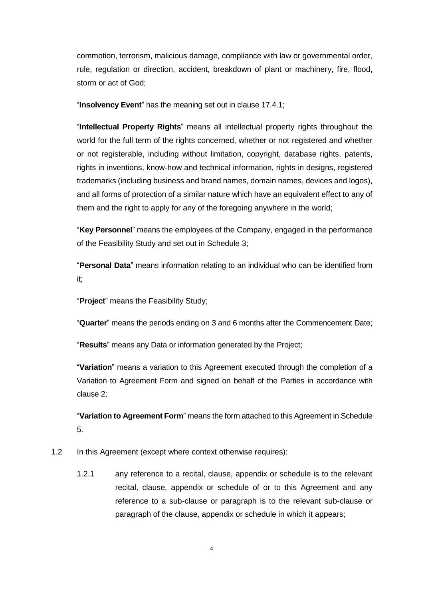commotion, terrorism, malicious damage, compliance with law or governmental order, rule, regulation or direction, accident, breakdown of plant or machinery, fire, flood, storm or act of God;

"**Insolvency Event**" has the meaning set out in clause 17.4.1;

"**Intellectual Property Rights**" means all intellectual property rights throughout the world for the full term of the rights concerned, whether or not registered and whether or not registerable, including without limitation, copyright, database rights, patents, rights in inventions, know-how and technical information, rights in designs, registered trademarks (including business and brand names, domain names, devices and logos), and all forms of protection of a similar nature which have an equivalent effect to any of them and the right to apply for any of the foregoing anywhere in the world;

"**Key Personnel**" means the employees of the Company, engaged in the performance of the Feasibility Study and set out in Schedule 3;

"**Personal Data**" means information relating to an individual who can be identified from it;

"**Project**" means the Feasibility Study;

"**Quarter**" means the periods ending on 3 and 6 months after the Commencement Date;

"**Results**" means any Data or information generated by the Project;

"**Variation**" means a variation to this Agreement executed through the completion of a Variation to Agreement Form and signed on behalf of the Parties in accordance with clause 2;

"**Variation to Agreement Form**" means the form attached to this Agreement in Schedule 5.

- 1.2 In this Agreement (except where context otherwise requires):
	- 1.2.1 any reference to a recital, clause, appendix or schedule is to the relevant recital, clause, appendix or schedule of or to this Agreement and any reference to a sub-clause or paragraph is to the relevant sub-clause or paragraph of the clause, appendix or schedule in which it appears;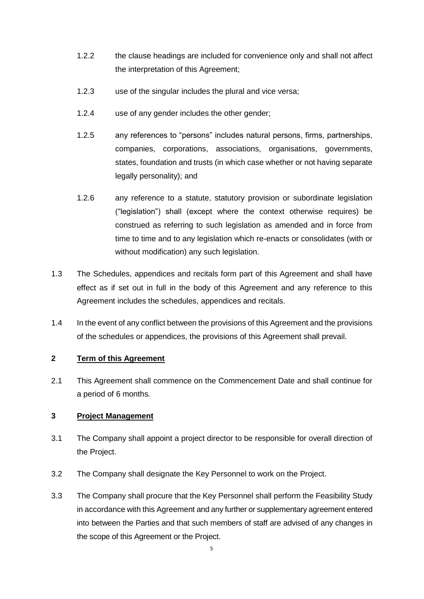- 1.2.2 the clause headings are included for convenience only and shall not affect the interpretation of this Agreement;
- 1.2.3 use of the singular includes the plural and vice versa;
- 1.2.4 use of any gender includes the other gender;
- 1.2.5 any references to "persons" includes natural persons, firms, partnerships, companies, corporations, associations, organisations, governments, states, foundation and trusts (in which case whether or not having separate legally personality); and
- 1.2.6 any reference to a statute, statutory provision or subordinate legislation ("legislation") shall (except where the context otherwise requires) be construed as referring to such legislation as amended and in force from time to time and to any legislation which re-enacts or consolidates (with or without modification) any such legislation.
- 1.3 The Schedules, appendices and recitals form part of this Agreement and shall have effect as if set out in full in the body of this Agreement and any reference to this Agreement includes the schedules, appendices and recitals.
- 1.4 In the event of any conflict between the provisions of this Agreement and the provisions of the schedules or appendices, the provisions of this Agreement shall prevail.

### **2 Term of this Agreement**

2.1 This Agreement shall commence on the Commencement Date and shall continue for a period of 6 months*.* 

### **3 Project Management**

- 3.1 The Company shall appoint a project director to be responsible for overall direction of the Project.
- 3.2 The Company shall designate the Key Personnel to work on the Project.
- 3.3 The Company shall procure that the Key Personnel shall perform the Feasibility Study in accordance with this Agreement and any further or supplementary agreement entered into between the Parties and that such members of staff are advised of any changes in the scope of this Agreement or the Project.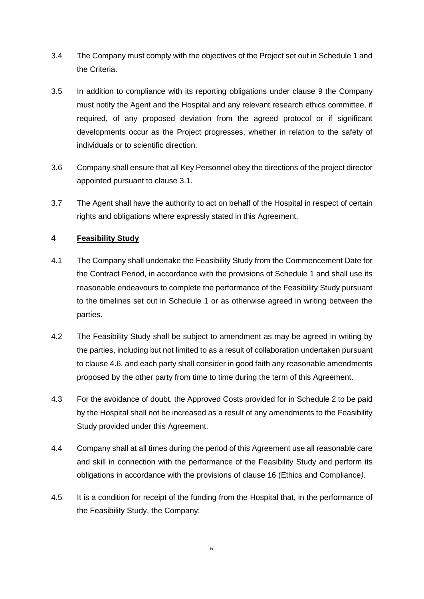- 3.4 The Company must comply with the objectives of the Project set out in Schedule 1 and the Criteria.
- 3.5 In addition to compliance with its reporting obligations under clause 9 the Company must notify the Agent and the Hospital and any relevant research ethics committee, if required, of any proposed deviation from the agreed protocol or if significant developments occur as the Project progresses, whether in relation to the safety of individuals or to scientific direction.
- 3.6 Company shall ensure that all Key Personnel obey the directions of the project director appointed pursuant to clause 3.1.
- 3.7 The Agent shall have the authority to act on behalf of the Hospital in respect of certain rights and obligations where expressly stated in this Agreement.

### **4 Feasibility Study**

- 4.1 The Company shall undertake the Feasibility Study from the Commencement Date for the Contract Period, in accordance with the provisions of Schedule 1 and shall use its reasonable endeavours to complete the performance of the Feasibility Study pursuant to the timelines set out in Schedule 1 or as otherwise agreed in writing between the parties.
- 4.2 The Feasibility Study shall be subject to amendment as may be agreed in writing by the parties, including but not limited to as a result of collaboration undertaken pursuant to clause 4.6, and each party shall consider in good faith any reasonable amendments proposed by the other party from time to time during the term of this Agreement.
- 4.3 For the avoidance of doubt, the Approved Costs provided for in Schedule 2 to be paid by the Hospital shall not be increased as a result of any amendments to the Feasibility Study provided under this Agreement.
- 4.4 Company shall at all times during the period of this Agreement use all reasonable care and skill in connection with the performance of the Feasibility Study and perform its obligations in accordance with the provisions of clause 16 (Ethics and Compliance*)*.
- 4.5 It is a condition for receipt of the funding from the Hospital that, in the performance of the Feasibility Study, the Company: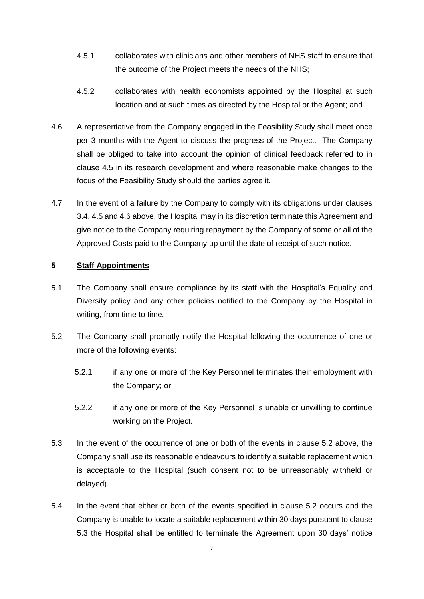- 4.5.1 collaborates with clinicians and other members of NHS staff to ensure that the outcome of the Project meets the needs of the NHS;
- 4.5.2 collaborates with health economists appointed by the Hospital at such location and at such times as directed by the Hospital or the Agent; and
- 4.6 A representative from the Company engaged in the Feasibility Study shall meet once per 3 months with the Agent to discuss the progress of the Project. The Company shall be obliged to take into account the opinion of clinical feedback referred to in clause 4.5 in its research development and where reasonable make changes to the focus of the Feasibility Study should the parties agree it.
- 4.7 In the event of a failure by the Company to comply with its obligations under clauses 3.4, 4.5 and 4.6 above, the Hospital may in its discretion terminate this Agreement and give notice to the Company requiring repayment by the Company of some or all of the Approved Costs paid to the Company up until the date of receipt of such notice.

### **5 Staff Appointments**

- 5.1 The Company shall ensure compliance by its staff with the Hospital's Equality and Diversity policy and any other policies notified to the Company by the Hospital in writing, from time to time.
- 5.2 The Company shall promptly notify the Hospital following the occurrence of one or more of the following events:
	- 5.2.1 if any one or more of the Key Personnel terminates their employment with the Company; or
	- 5.2.2 if any one or more of the Key Personnel is unable or unwilling to continue working on the Project.
- 5.3 In the event of the occurrence of one or both of the events in clause 5.2 above, the Company shall use its reasonable endeavours to identify a suitable replacement which is acceptable to the Hospital (such consent not to be unreasonably withheld or delayed).
- 5.4 In the event that either or both of the events specified in clause 5.2 occurs and the Company is unable to locate a suitable replacement within 30 days pursuant to clause 5.3 the Hospital shall be entitled to terminate the Agreement upon 30 days' notice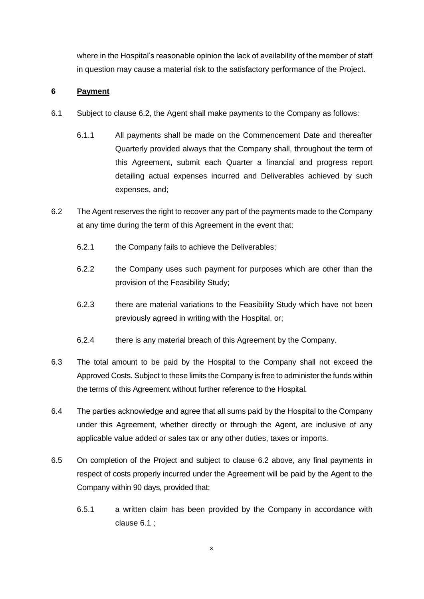where in the Hospital's reasonable opinion the lack of availability of the member of staff in question may cause a material risk to the satisfactory performance of the Project.

### **6 Payment**

- 6.1 Subject to clause 6.2, the Agent shall make payments to the Company as follows:
	- 6.1.1 All payments shall be made on the Commencement Date and thereafter Quarterly provided always that the Company shall, throughout the term of this Agreement, submit each Quarter a financial and progress report detailing actual expenses incurred and Deliverables achieved by such expenses, and;
- 6.2 The Agent reserves the right to recover any part of the payments made to the Company at any time during the term of this Agreement in the event that:
	- 6.2.1 the Company fails to achieve the Deliverables;
	- 6.2.2 the Company uses such payment for purposes which are other than the provision of the Feasibility Study;
	- 6.2.3 there are material variations to the Feasibility Study which have not been previously agreed in writing with the Hospital, or;
	- 6.2.4 there is any material breach of this Agreement by the Company.
- 6.3 The total amount to be paid by the Hospital to the Company shall not exceed the Approved Costs. Subject to these limits the Company is free to administer the funds within the terms of this Agreement without further reference to the Hospital.
- 6.4 The parties acknowledge and agree that all sums paid by the Hospital to the Company under this Agreement, whether directly or through the Agent, are inclusive of any applicable value added or sales tax or any other duties, taxes or imports.
- 6.5 On completion of the Project and subject to clause 6.2 above, any final payments in respect of costs properly incurred under the Agreement will be paid by the Agent to the Company within 90 days, provided that:
	- 6.5.1 a written claim has been provided by the Company in accordance with clause 6.1 ;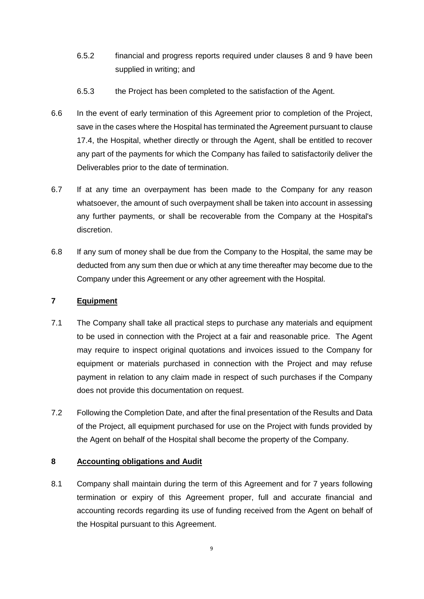- 6.5.2 financial and progress reports required under clauses 8 and 9 have been supplied in writing; and
- 6.5.3 the Project has been completed to the satisfaction of the Agent.
- 6.6 In the event of early termination of this Agreement prior to completion of the Project, save in the cases where the Hospital has terminated the Agreement pursuant to clause 17.4, the Hospital, whether directly or through the Agent, shall be entitled to recover any part of the payments for which the Company has failed to satisfactorily deliver the Deliverables prior to the date of termination.
- 6.7 If at any time an overpayment has been made to the Company for any reason whatsoever, the amount of such overpayment shall be taken into account in assessing any further payments, or shall be recoverable from the Company at the Hospital's discretion.
- 6.8 If any sum of money shall be due from the Company to the Hospital, the same may be deducted from any sum then due or which at any time thereafter may become due to the Company under this Agreement or any other agreement with the Hospital.

# **7 Equipment**

- 7.1 The Company shall take all practical steps to purchase any materials and equipment to be used in connection with the Project at a fair and reasonable price. The Agent may require to inspect original quotations and invoices issued to the Company for equipment or materials purchased in connection with the Project and may refuse payment in relation to any claim made in respect of such purchases if the Company does not provide this documentation on request.
- 7.2 Following the Completion Date, and after the final presentation of the Results and Data of the Project, all equipment purchased for use on the Project with funds provided by the Agent on behalf of the Hospital shall become the property of the Company.

# **8 Accounting obligations and Audit**

8.1 Company shall maintain during the term of this Agreement and for 7 years following termination or expiry of this Agreement proper, full and accurate financial and accounting records regarding its use of funding received from the Agent on behalf of the Hospital pursuant to this Agreement.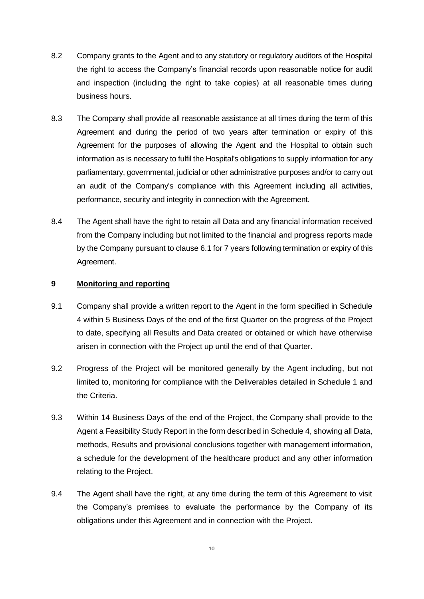- 8.2 Company grants to the Agent and to any statutory or regulatory auditors of the Hospital the right to access the Company's financial records upon reasonable notice for audit and inspection (including the right to take copies) at all reasonable times during business hours.
- 8.3 The Company shall provide all reasonable assistance at all times during the term of this Agreement and during the period of two years after termination or expiry of this Agreement for the purposes of allowing the Agent and the Hospital to obtain such information as is necessary to fulfil the Hospital's obligations to supply information for any parliamentary, governmental, judicial or other administrative purposes and/or to carry out an audit of the Company's compliance with this Agreement including all activities, performance, security and integrity in connection with the Agreement.
- 8.4 The Agent shall have the right to retain all Data and any financial information received from the Company including but not limited to the financial and progress reports made by the Company pursuant to clause 6.1 for 7 years following termination or expiry of this Agreement.

#### **9 Monitoring and reporting**

- 9.1 Company shall provide a written report to the Agent in the form specified in Schedule 4 within 5 Business Days of the end of the first Quarter on the progress of the Project to date, specifying all Results and Data created or obtained or which have otherwise arisen in connection with the Project up until the end of that Quarter.
- 9.2 Progress of the Project will be monitored generally by the Agent including, but not limited to, monitoring for compliance with the Deliverables detailed in Schedule 1 and the Criteria.
- 9.3 Within 14 Business Days of the end of the Project, the Company shall provide to the Agent a Feasibility Study Report in the form described in Schedule 4, showing all Data, methods, Results and provisional conclusions together with management information, a schedule for the development of the healthcare product and any other information relating to the Project.
- 9.4 The Agent shall have the right, at any time during the term of this Agreement to visit the Company's premises to evaluate the performance by the Company of its obligations under this Agreement and in connection with the Project.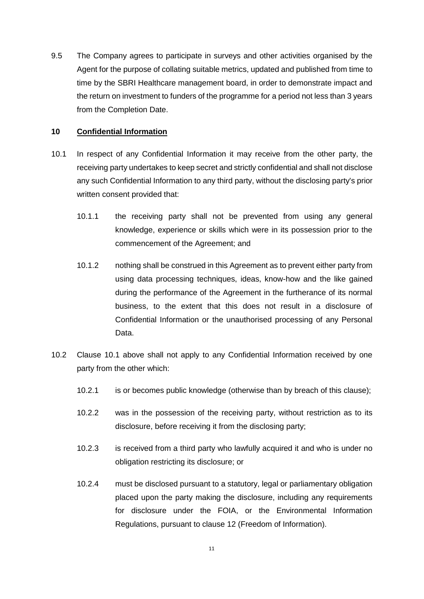9.5 The Company agrees to participate in surveys and other activities organised by the Agent for the purpose of collating suitable metrics, updated and published from time to time by the SBRI Healthcare management board, in order to demonstrate impact and the return on investment to funders of the programme for a period not less than 3 years from the Completion Date.

### **10 Confidential Information**

- 10.1 In respect of any Confidential Information it may receive from the other party, the receiving party undertakes to keep secret and strictly confidential and shall not disclose any such Confidential Information to any third party, without the disclosing party's prior written consent provided that:
	- 10.1.1 the receiving party shall not be prevented from using any general knowledge, experience or skills which were in its possession prior to the commencement of the Agreement; and
	- 10.1.2 nothing shall be construed in this Agreement as to prevent either party from using data processing techniques, ideas, know-how and the like gained during the performance of the Agreement in the furtherance of its normal business, to the extent that this does not result in a disclosure of Confidential Information or the unauthorised processing of any Personal Data.
- 10.2 Clause 10.1 above shall not apply to any Confidential Information received by one party from the other which:
	- 10.2.1 is or becomes public knowledge (otherwise than by breach of this clause);
	- 10.2.2 was in the possession of the receiving party, without restriction as to its disclosure, before receiving it from the disclosing party;
	- 10.2.3 is received from a third party who lawfully acquired it and who is under no obligation restricting its disclosure; or
	- 10.2.4 must be disclosed pursuant to a statutory, legal or parliamentary obligation placed upon the party making the disclosure, including any requirements for disclosure under the FOIA, or the Environmental Information Regulations, pursuant to clause 12 (Freedom of Information).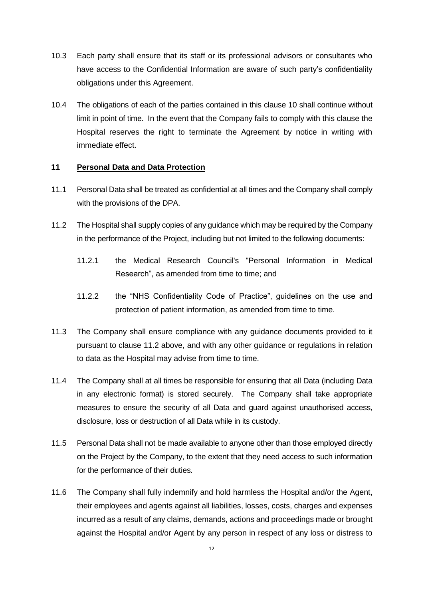- 10.3 Each party shall ensure that its staff or its professional advisors or consultants who have access to the Confidential Information are aware of such party's confidentiality obligations under this Agreement.
- 10.4 The obligations of each of the parties contained in this clause 10 shall continue without limit in point of time. In the event that the Company fails to comply with this clause the Hospital reserves the right to terminate the Agreement by notice in writing with immediate effect.

### **11 Personal Data and Data Protection**

- 11.1 Personal Data shall be treated as confidential at all times and the Company shall comply with the provisions of the DPA.
- 11.2 The Hospital shall supply copies of any guidance which may be required by the Company in the performance of the Project, including but not limited to the following documents:
	- 11.2.1 the Medical Research Council's "Personal Information in Medical Research", as amended from time to time; and
	- 11.2.2 the "NHS Confidentiality Code of Practice", guidelines on the use and protection of patient information, as amended from time to time.
- 11.3 The Company shall ensure compliance with any guidance documents provided to it pursuant to clause 11.2 above, and with any other guidance or regulations in relation to data as the Hospital may advise from time to time.
- 11.4 The Company shall at all times be responsible for ensuring that all Data (including Data in any electronic format) is stored securely. The Company shall take appropriate measures to ensure the security of all Data and guard against unauthorised access, disclosure, loss or destruction of all Data while in its custody.
- 11.5 Personal Data shall not be made available to anyone other than those employed directly on the Project by the Company, to the extent that they need access to such information for the performance of their duties.
- 11.6 The Company shall fully indemnify and hold harmless the Hospital and/or the Agent, their employees and agents against all liabilities, losses, costs, charges and expenses incurred as a result of any claims, demands, actions and proceedings made or brought against the Hospital and/or Agent by any person in respect of any loss or distress to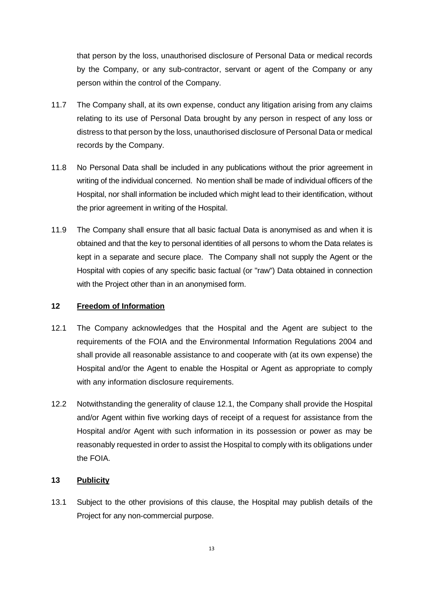that person by the loss, unauthorised disclosure of Personal Data or medical records by the Company, or any sub-contractor, servant or agent of the Company or any person within the control of the Company.

- 11.7 The Company shall, at its own expense, conduct any litigation arising from any claims relating to its use of Personal Data brought by any person in respect of any loss or distress to that person by the loss, unauthorised disclosure of Personal Data or medical records by the Company.
- 11.8 No Personal Data shall be included in any publications without the prior agreement in writing of the individual concerned. No mention shall be made of individual officers of the Hospital, nor shall information be included which might lead to their identification, without the prior agreement in writing of the Hospital.
- 11.9 The Company shall ensure that all basic factual Data is anonymised as and when it is obtained and that the key to personal identities of all persons to whom the Data relates is kept in a separate and secure place. The Company shall not supply the Agent or the Hospital with copies of any specific basic factual (or "raw") Data obtained in connection with the Project other than in an anonymised form.

### **12 Freedom of Information**

- 12.1 The Company acknowledges that the Hospital and the Agent are subject to the requirements of the FOIA and the Environmental Information Regulations 2004 and shall provide all reasonable assistance to and cooperate with (at its own expense) the Hospital and/or the Agent to enable the Hospital or Agent as appropriate to comply with any information disclosure requirements.
- 12.2 Notwithstanding the generality of clause 12.1, the Company shall provide the Hospital and/or Agent within five working days of receipt of a request for assistance from the Hospital and/or Agent with such information in its possession or power as may be reasonably requested in order to assist the Hospital to comply with its obligations under the FOIA.

### **13 Publicity**

13.1 Subject to the other provisions of this clause, the Hospital may publish details of the Project for any non-commercial purpose.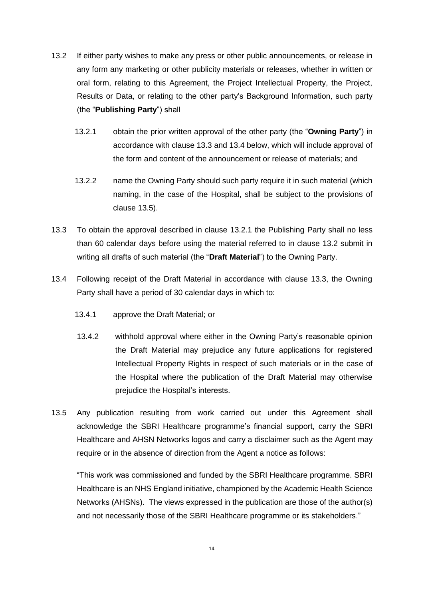- 13.2 If either party wishes to make any press or other public announcements, or release in any form any marketing or other publicity materials or releases, whether in written or oral form, relating to this Agreement, the Project Intellectual Property, the Project, Results or Data, or relating to the other party's Background Information, such party (the "**Publishing Party**") shall
	- 13.2.1 obtain the prior written approval of the other party (the "**Owning Party**") in accordance with clause 13.3 and 13.4 below, which will include approval of the form and content of the announcement or release of materials; and
	- 13.2.2 name the Owning Party should such party require it in such material (which naming, in the case of the Hospital, shall be subject to the provisions of clause 13.5).
- 13.3 To obtain the approval described in clause 13.2.1 the Publishing Party shall no less than 60 calendar days before using the material referred to in clause 13.2 submit in writing all drafts of such material (the "**Draft Material**") to the Owning Party.
- 13.4 Following receipt of the Draft Material in accordance with clause 13.3, the Owning Party shall have a period of 30 calendar days in which to:
	- 13.4.1 approve the Draft Material; or
	- 13.4.2 withhold approval where either in the Owning Party's reasonable opinion the Draft Material may prejudice any future applications for registered Intellectual Property Rights in respect of such materials or in the case of the Hospital where the publication of the Draft Material may otherwise prejudice the Hospital's interests.
- 13.5 Any publication resulting from work carried out under this Agreement shall acknowledge the SBRI Healthcare programme's financial support, carry the SBRI Healthcare and AHSN Networks logos and carry a disclaimer such as the Agent may require or in the absence of direction from the Agent a notice as follows:

"This work was commissioned and funded by the SBRI Healthcare programme. SBRI Healthcare is an NHS England initiative, championed by the Academic Health Science Networks (AHSNs). The views expressed in the publication are those of the author(s) and not necessarily those of the SBRI Healthcare programme or its stakeholders."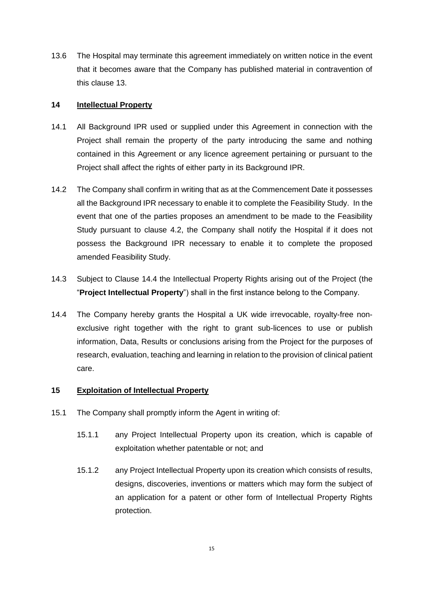13.6 The Hospital may terminate this agreement immediately on written notice in the event that it becomes aware that the Company has published material in contravention of this clause 13.

### **14 Intellectual Property**

- 14.1 All Background IPR used or supplied under this Agreement in connection with the Project shall remain the property of the party introducing the same and nothing contained in this Agreement or any licence agreement pertaining or pursuant to the Project shall affect the rights of either party in its Background IPR.
- 14.2 The Company shall confirm in writing that as at the Commencement Date it possesses all the Background IPR necessary to enable it to complete the Feasibility Study. In the event that one of the parties proposes an amendment to be made to the Feasibility Study pursuant to clause 4.2, the Company shall notify the Hospital if it does not possess the Background IPR necessary to enable it to complete the proposed amended Feasibility Study.
- 14.3 Subject to Clause 14.4 the Intellectual Property Rights arising out of the Project (the "**Project Intellectual Property**") shall in the first instance belong to the Company.
- 14.4 The Company hereby grants the Hospital a UK wide irrevocable, royalty-free nonexclusive right together with the right to grant sub-licences to use or publish information, Data, Results or conclusions arising from the Project for the purposes of research, evaluation, teaching and learning in relation to the provision of clinical patient care.

# **15 Exploitation of Intellectual Property**

- 15.1 The Company shall promptly inform the Agent in writing of:
	- 15.1.1 any Project Intellectual Property upon its creation, which is capable of exploitation whether patentable or not; and
	- 15.1.2 any Project Intellectual Property upon its creation which consists of results, designs, discoveries, inventions or matters which may form the subject of an application for a patent or other form of Intellectual Property Rights protection.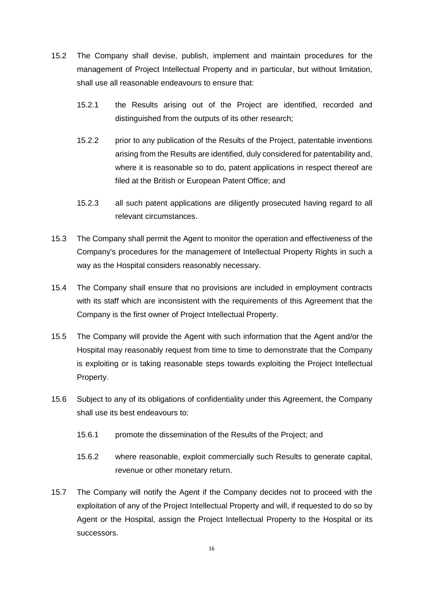- 15.2 The Company shall devise, publish, implement and maintain procedures for the management of Project Intellectual Property and in particular, but without limitation, shall use all reasonable endeavours to ensure that:
	- 15.2.1 the Results arising out of the Project are identified, recorded and distinguished from the outputs of its other research;
	- 15.2.2 prior to any publication of the Results of the Project, patentable inventions arising from the Results are identified, duly considered for patentability and, where it is reasonable so to do, patent applications in respect thereof are filed at the British or European Patent Office; and
	- 15.2.3 all such patent applications are diligently prosecuted having regard to all relevant circumstances.
- 15.3 The Company shall permit the Agent to monitor the operation and effectiveness of the Company's procedures for the management of Intellectual Property Rights in such a way as the Hospital considers reasonably necessary.
- 15.4 The Company shall ensure that no provisions are included in employment contracts with its staff which are inconsistent with the requirements of this Agreement that the Company is the first owner of Project Intellectual Property.
- 15.5 The Company will provide the Agent with such information that the Agent and/or the Hospital may reasonably request from time to time to demonstrate that the Company is exploiting or is taking reasonable steps towards exploiting the Project Intellectual Property.
- 15.6 Subject to any of its obligations of confidentiality under this Agreement, the Company shall use its best endeavours to:
	- 15.6.1 promote the dissemination of the Results of the Project; and
	- 15.6.2 where reasonable, exploit commercially such Results to generate capital, revenue or other monetary return.
- 15.7 The Company will notify the Agent if the Company decides not to proceed with the exploitation of any of the Project Intellectual Property and will, if requested to do so by Agent or the Hospital, assign the Project Intellectual Property to the Hospital or its successors.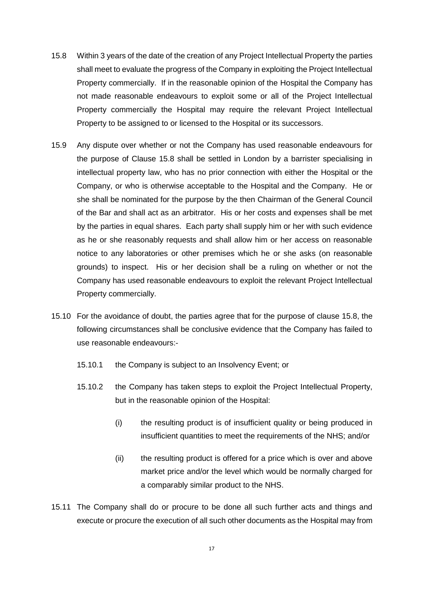- 15.8 Within 3 years of the date of the creation of any Project Intellectual Property the parties shall meet to evaluate the progress of the Company in exploiting the Project Intellectual Property commercially. If in the reasonable opinion of the Hospital the Company has not made reasonable endeavours to exploit some or all of the Project Intellectual Property commercially the Hospital may require the relevant Project Intellectual Property to be assigned to or licensed to the Hospital or its successors.
- 15.9 Any dispute over whether or not the Company has used reasonable endeavours for the purpose of Clause 15.8 shall be settled in London by a barrister specialising in intellectual property law, who has no prior connection with either the Hospital or the Company, or who is otherwise acceptable to the Hospital and the Company. He or she shall be nominated for the purpose by the then Chairman of the General Council of the Bar and shall act as an arbitrator. His or her costs and expenses shall be met by the parties in equal shares. Each party shall supply him or her with such evidence as he or she reasonably requests and shall allow him or her access on reasonable notice to any laboratories or other premises which he or she asks (on reasonable grounds) to inspect. His or her decision shall be a ruling on whether or not the Company has used reasonable endeavours to exploit the relevant Project Intellectual Property commercially.
- 15.10 For the avoidance of doubt, the parties agree that for the purpose of clause 15.8, the following circumstances shall be conclusive evidence that the Company has failed to use reasonable endeavours:-
	- 15.10.1 the Company is subject to an Insolvency Event; or
	- 15.10.2 the Company has taken steps to exploit the Project Intellectual Property, but in the reasonable opinion of the Hospital:
		- (i) the resulting product is of insufficient quality or being produced in insufficient quantities to meet the requirements of the NHS; and/or
		- (ii) the resulting product is offered for a price which is over and above market price and/or the level which would be normally charged for a comparably similar product to the NHS.
- 15.11 The Company shall do or procure to be done all such further acts and things and execute or procure the execution of all such other documents as the Hospital may from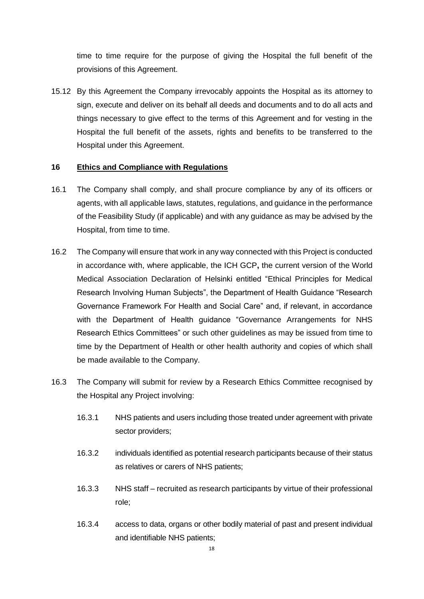time to time require for the purpose of giving the Hospital the full benefit of the provisions of this Agreement.

15.12 By this Agreement the Company irrevocably appoints the Hospital as its attorney to sign, execute and deliver on its behalf all deeds and documents and to do all acts and things necessary to give effect to the terms of this Agreement and for vesting in the Hospital the full benefit of the assets, rights and benefits to be transferred to the Hospital under this Agreement.

#### **16 Ethics and Compliance with Regulations**

- 16.1 The Company shall comply, and shall procure compliance by any of its officers or agents, with all applicable laws, statutes, regulations, and guidance in the performance of the Feasibility Study (if applicable) and with any guidance as may be advised by the Hospital, from time to time.
- 16.2 The Company will ensure that work in any way connected with this Project is conducted in accordance with, where applicable, the ICH GCP**,** the current version of the World Medical Association Declaration of Helsinki entitled "Ethical Principles for Medical Research Involving Human Subjects", the Department of Health Guidance "Research Governance Framework For Health and Social Care" and, if relevant, in accordance with the Department of Health guidance "Governance Arrangements for NHS Research Ethics Committees" or such other guidelines as may be issued from time to time by the Department of Health or other health authority and copies of which shall be made available to the Company.
- 16.3 The Company will submit for review by a Research Ethics Committee recognised by the Hospital any Project involving:
	- 16.3.1 NHS patients and users including those treated under agreement with private sector providers;
	- 16.3.2 individuals identified as potential research participants because of their status as relatives or carers of NHS patients;
	- 16.3.3 NHS staff recruited as research participants by virtue of their professional role;
	- 16.3.4 access to data, organs or other bodily material of past and present individual and identifiable NHS patients;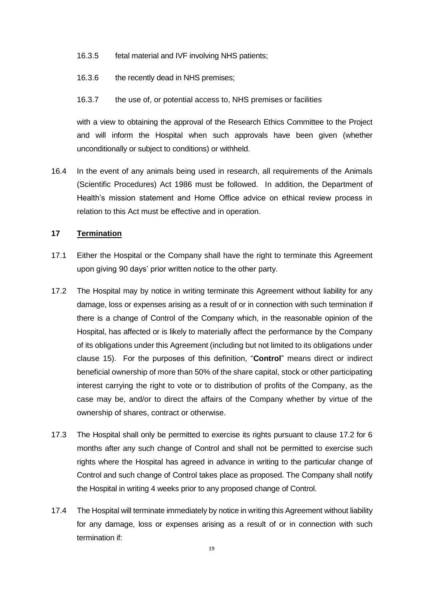- 16.3.5 fetal material and IVF involving NHS patients;
- 16.3.6 the recently dead in NHS premises;
- 16.3.7 the use of, or potential access to, NHS premises or facilities

with a view to obtaining the approval of the Research Ethics Committee to the Project and will inform the Hospital when such approvals have been given (whether unconditionally or subject to conditions) or withheld.

16.4 In the event of any animals being used in research, all requirements of the Animals (Scientific Procedures) Act 1986 must be followed. In addition, the Department of Health's mission statement and Home Office advice on ethical review process in relation to this Act must be effective and in operation.

#### **17 Termination**

- 17.1 Either the Hospital or the Company shall have the right to terminate this Agreement upon giving 90 days' prior written notice to the other party.
- 17.2 The Hospital may by notice in writing terminate this Agreement without liability for any damage, loss or expenses arising as a result of or in connection with such termination if there is a change of Control of the Company which, in the reasonable opinion of the Hospital, has affected or is likely to materially affect the performance by the Company of its obligations under this Agreement (including but not limited to its obligations under clause 15). For the purposes of this definition, "**Control**" means direct or indirect beneficial ownership of more than 50% of the share capital, stock or other participating interest carrying the right to vote or to distribution of profits of the Company, as the case may be, and/or to direct the affairs of the Company whether by virtue of the ownership of shares, contract or otherwise.
- 17.3 The Hospital shall only be permitted to exercise its rights pursuant to clause 17.2 for 6 months after any such change of Control and shall not be permitted to exercise such rights where the Hospital has agreed in advance in writing to the particular change of Control and such change of Control takes place as proposed. The Company shall notify the Hospital in writing 4 weeks prior to any proposed change of Control.
- 17.4 The Hospital will terminate immediately by notice in writing this Agreement without liability for any damage, loss or expenses arising as a result of or in connection with such termination if: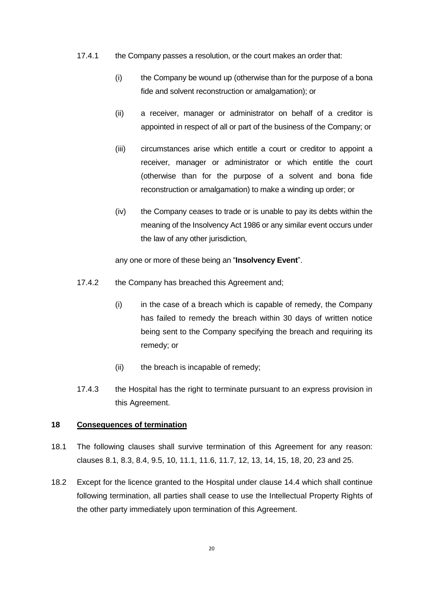- 17.4.1 the Company passes a resolution, or the court makes an order that:
	- (i) the Company be wound up (otherwise than for the purpose of a bona fide and solvent reconstruction or amalgamation); or
	- (ii) a receiver, manager or administrator on behalf of a creditor is appointed in respect of all or part of the business of the Company; or
	- (iii) circumstances arise which entitle a court or creditor to appoint a receiver, manager or administrator or which entitle the court (otherwise than for the purpose of a solvent and bona fide reconstruction or amalgamation) to make a winding up order; or
	- (iv) the Company ceases to trade or is unable to pay its debts within the meaning of the Insolvency Act 1986 or any similar event occurs under the law of any other jurisdiction,

any one or more of these being an "**Insolvency Event**".

- 17.4.2 the Company has breached this Agreement and;
	- $(i)$  in the case of a breach which is capable of remedy, the Company has failed to remedy the breach within 30 days of written notice being sent to the Company specifying the breach and requiring its remedy; or
	- (ii) the breach is incapable of remedy;
- 17.4.3 the Hospital has the right to terminate pursuant to an express provision in this Agreement.

### **18 Consequences of termination**

- 18.1 The following clauses shall survive termination of this Agreement for any reason: clauses 8.1, 8.3, 8.4, 9.5, 10, 11.1, 11.6, 11.7, 12, 13, 14, 15, 18, 20, 23 and 25.
- 18.2 Except for the licence granted to the Hospital under clause 14.4 which shall continue following termination, all parties shall cease to use the Intellectual Property Rights of the other party immediately upon termination of this Agreement.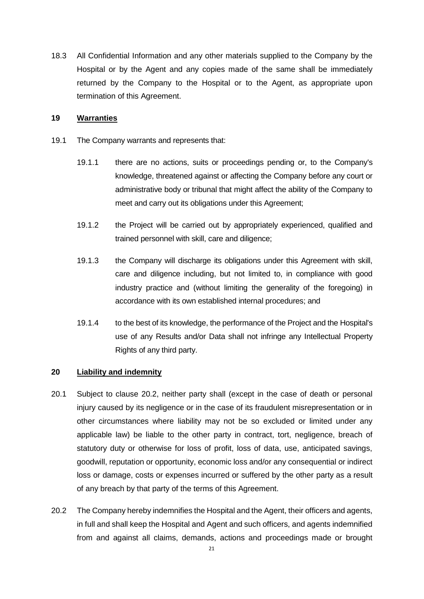18.3 All Confidential Information and any other materials supplied to the Company by the Hospital or by the Agent and any copies made of the same shall be immediately returned by the Company to the Hospital or to the Agent, as appropriate upon termination of this Agreement.

#### **19 Warranties**

- 19.1 The Company warrants and represents that:
	- 19.1.1 there are no actions, suits or proceedings pending or, to the Company's knowledge, threatened against or affecting the Company before any court or administrative body or tribunal that might affect the ability of the Company to meet and carry out its obligations under this Agreement;
	- 19.1.2 the Project will be carried out by appropriately experienced, qualified and trained personnel with skill, care and diligence;
	- 19.1.3 the Company will discharge its obligations under this Agreement with skill, care and diligence including, but not limited to, in compliance with good industry practice and (without limiting the generality of the foregoing) in accordance with its own established internal procedures; and
	- 19.1.4 to the best of its knowledge, the performance of the Project and the Hospital's use of any Results and/or Data shall not infringe any Intellectual Property Rights of any third party.

#### **20 Liability and indemnity**

- 20.1 Subject to clause 20.2, neither party shall (except in the case of death or personal injury caused by its negligence or in the case of its fraudulent misrepresentation or in other circumstances where liability may not be so excluded or limited under any applicable law) be liable to the other party in contract, tort, negligence, breach of statutory duty or otherwise for loss of profit, loss of data, use, anticipated savings, goodwill, reputation or opportunity, economic loss and/or any consequential or indirect loss or damage, costs or expenses incurred or suffered by the other party as a result of any breach by that party of the terms of this Agreement.
- 20.2 The Company hereby indemnifies the Hospital and the Agent, their officers and agents, in full and shall keep the Hospital and Agent and such officers, and agents indemnified from and against all claims, demands, actions and proceedings made or brought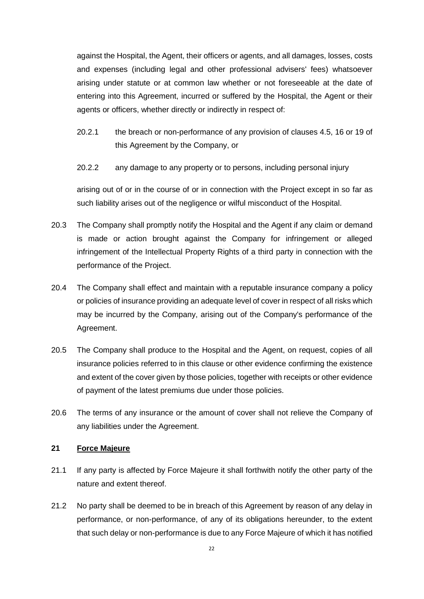against the Hospital, the Agent, their officers or agents, and all damages, losses, costs and expenses (including legal and other professional advisers' fees) whatsoever arising under statute or at common law whether or not foreseeable at the date of entering into this Agreement, incurred or suffered by the Hospital, the Agent or their agents or officers, whether directly or indirectly in respect of:

- 20.2.1 the breach or non-performance of any provision of clauses 4.5, 16 or 19 of this Agreement by the Company, or
- 20.2.2 any damage to any property or to persons, including personal injury

arising out of or in the course of or in connection with the Project except in so far as such liability arises out of the negligence or wilful misconduct of the Hospital.

- 20.3 The Company shall promptly notify the Hospital and the Agent if any claim or demand is made or action brought against the Company for infringement or alleged infringement of the Intellectual Property Rights of a third party in connection with the performance of the Project.
- 20.4 The Company shall effect and maintain with a reputable insurance company a policy or policies of insurance providing an adequate level of cover in respect of all risks which may be incurred by the Company, arising out of the Company's performance of the Agreement.
- 20.5 The Company shall produce to the Hospital and the Agent, on request, copies of all insurance policies referred to in this clause or other evidence confirming the existence and extent of the cover given by those policies, together with receipts or other evidence of payment of the latest premiums due under those policies.
- 20.6 The terms of any insurance or the amount of cover shall not relieve the Company of any liabilities under the Agreement.

## **21 Force Majeure**

- 21.1 If any party is affected by Force Majeure it shall forthwith notify the other party of the nature and extent thereof.
- 21.2 No party shall be deemed to be in breach of this Agreement by reason of any delay in performance, or non-performance, of any of its obligations hereunder, to the extent that such delay or non-performance is due to any Force Majeure of which it has notified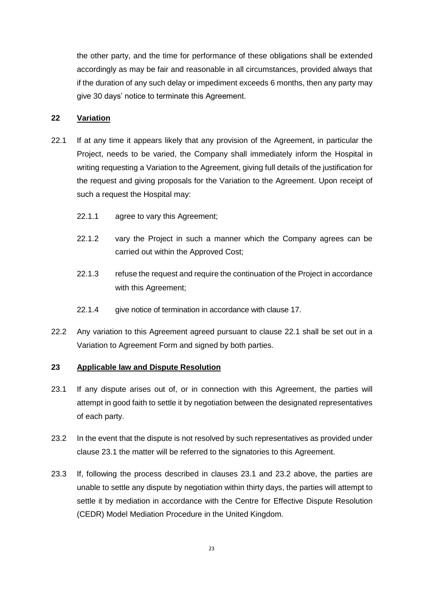the other party, and the time for performance of these obligations shall be extended accordingly as may be fair and reasonable in all circumstances, provided always that if the duration of any such delay or impediment exceeds 6 months, then any party may give 30 days' notice to terminate this Agreement.

#### **22 Variation**

- 22.1 If at any time it appears likely that any provision of the Agreement, in particular the Project, needs to be varied, the Company shall immediately inform the Hospital in writing requesting a Variation to the Agreement, giving full details of the justification for the request and giving proposals for the Variation to the Agreement. Upon receipt of such a request the Hospital may:
	- 22.1.1 agree to vary this Agreement;
	- 22.1.2 vary the Project in such a manner which the Company agrees can be carried out within the Approved Cost;
	- 22.1.3 refuse the request and require the continuation of the Project in accordance with this Agreement;
	- 22.1.4 give notice of termination in accordance with clause 17.
- 22.2 Any variation to this Agreement agreed pursuant to clause 22.1 shall be set out in a Variation to Agreement Form and signed by both parties.

#### **23 Applicable law and Dispute Resolution**

- 23.1 If any dispute arises out of, or in connection with this Agreement, the parties will attempt in good faith to settle it by negotiation between the designated representatives of each party.
- 23.2 In the event that the dispute is not resolved by such representatives as provided under clause 23.1 the matter will be referred to the signatories to this Agreement.
- 23.3 If, following the process described in clauses 23.1 and 23.2 above, the parties are unable to settle any dispute by negotiation within thirty days, the parties will attempt to settle it by mediation in accordance with the Centre for Effective Dispute Resolution (CEDR) Model Mediation Procedure in the United Kingdom.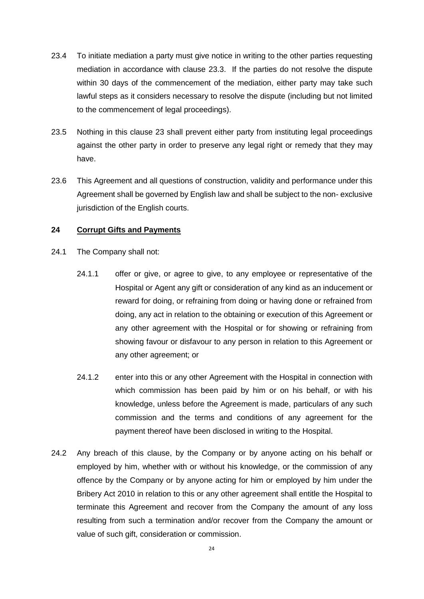- 23.4 To initiate mediation a party must give notice in writing to the other parties requesting mediation in accordance with clause 23.3. If the parties do not resolve the dispute within 30 days of the commencement of the mediation, either party may take such lawful steps as it considers necessary to resolve the dispute (including but not limited to the commencement of legal proceedings).
- 23.5 Nothing in this clause 23 shall prevent either party from instituting legal proceedings against the other party in order to preserve any legal right or remedy that they may have.
- 23.6 This Agreement and all questions of construction, validity and performance under this Agreement shall be governed by English law and shall be subject to the non- exclusive jurisdiction of the English courts.

#### **24 Corrupt Gifts and Payments**

- 24.1 The Company shall not:
	- 24.1.1 offer or give, or agree to give, to any employee or representative of the Hospital or Agent any gift or consideration of any kind as an inducement or reward for doing, or refraining from doing or having done or refrained from doing, any act in relation to the obtaining or execution of this Agreement or any other agreement with the Hospital or for showing or refraining from showing favour or disfavour to any person in relation to this Agreement or any other agreement; or
	- 24.1.2 enter into this or any other Agreement with the Hospital in connection with which commission has been paid by him or on his behalf, or with his knowledge, unless before the Agreement is made, particulars of any such commission and the terms and conditions of any agreement for the payment thereof have been disclosed in writing to the Hospital.
- 24.2 Any breach of this clause, by the Company or by anyone acting on his behalf or employed by him, whether with or without his knowledge, or the commission of any offence by the Company or by anyone acting for him or employed by him under the Bribery Act 2010 in relation to this or any other agreement shall entitle the Hospital to terminate this Agreement and recover from the Company the amount of any loss resulting from such a termination and/or recover from the Company the amount or value of such gift, consideration or commission.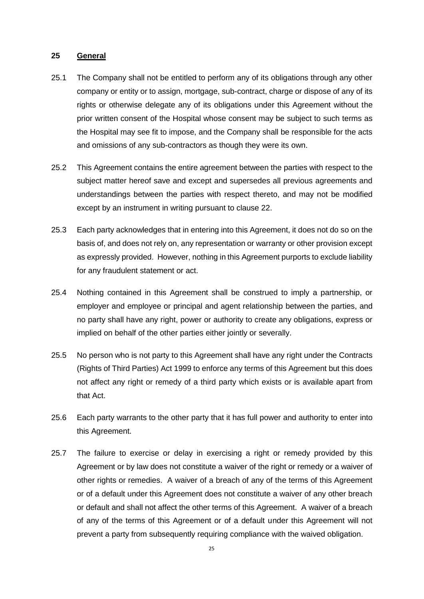#### **25 General**

- 25.1 The Company shall not be entitled to perform any of its obligations through any other company or entity or to assign, mortgage, sub-contract, charge or dispose of any of its rights or otherwise delegate any of its obligations under this Agreement without the prior written consent of the Hospital whose consent may be subject to such terms as the Hospital may see fit to impose, and the Company shall be responsible for the acts and omissions of any sub-contractors as though they were its own.
- 25.2 This Agreement contains the entire agreement between the parties with respect to the subject matter hereof save and except and supersedes all previous agreements and understandings between the parties with respect thereto, and may not be modified except by an instrument in writing pursuant to clause 22.
- 25.3 Each party acknowledges that in entering into this Agreement, it does not do so on the basis of, and does not rely on, any representation or warranty or other provision except as expressly provided. However, nothing in this Agreement purports to exclude liability for any fraudulent statement or act.
- 25.4 Nothing contained in this Agreement shall be construed to imply a partnership, or employer and employee or principal and agent relationship between the parties, and no party shall have any right, power or authority to create any obligations, express or implied on behalf of the other parties either jointly or severally.
- 25.5 No person who is not party to this Agreement shall have any right under the Contracts (Rights of Third Parties) Act 1999 to enforce any terms of this Agreement but this does not affect any right or remedy of a third party which exists or is available apart from that Act.
- 25.6 Each party warrants to the other party that it has full power and authority to enter into this Agreement.
- 25.7 The failure to exercise or delay in exercising a right or remedy provided by this Agreement or by law does not constitute a waiver of the right or remedy or a waiver of other rights or remedies. A waiver of a breach of any of the terms of this Agreement or of a default under this Agreement does not constitute a waiver of any other breach or default and shall not affect the other terms of this Agreement. A waiver of a breach of any of the terms of this Agreement or of a default under this Agreement will not prevent a party from subsequently requiring compliance with the waived obligation.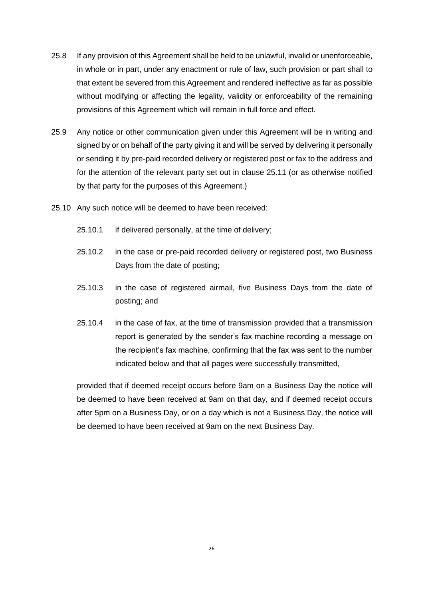- 25.8 If any provision of this Agreement shall be held to be unlawful, invalid or unenforceable, in whole or in part, under any enactment or rule of law, such provision or part shall to that extent be severed from this Agreement and rendered ineffective as far as possible without modifying or affecting the legality, validity or enforceability of the remaining provisions of this Agreement which will remain in full force and effect.
- 25.9 Any notice or other communication given under this Agreement will be in writing and signed by or on behalf of the party giving it and will be served by delivering it personally or sending it by pre-paid recorded delivery or registered post or fax to the address and for the attention of the relevant party set out in clause 25.11 (or as otherwise notified by that party for the purposes of this Agreement.)
- 25.10 Any such notice will be deemed to have been received:
	- 25.10.1 if delivered personally, at the time of delivery;
	- 25.10.2 in the case or pre-paid recorded delivery or registered post, two Business Days from the date of posting;
	- 25.10.3 in the case of registered airmail, five Business Days from the date of posting; and
	- 25.10.4 in the case of fax, at the time of transmission provided that a transmission report is generated by the sender's fax machine recording a message on the recipient's fax machine, confirming that the fax was sent to the number indicated below and that all pages were successfully transmitted,

provided that if deemed receipt occurs before 9am on a Business Day the notice will be deemed to have been received at 9am on that day, and if deemed receipt occurs after 5pm on a Business Day, or on a day which is not a Business Day, the notice will be deemed to have been received at 9am on the next Business Day.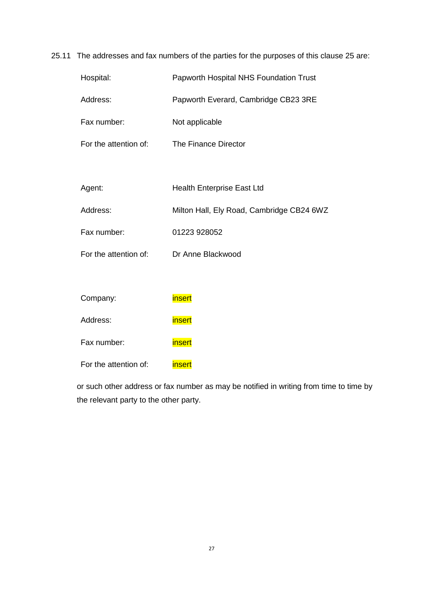# 25.11 The addresses and fax numbers of the parties for the purposes of this clause 25 are:

| Hospital:             | Papworth Hospital NHS Foundation Trust    |  |
|-----------------------|-------------------------------------------|--|
| Address:              | Papworth Everard, Cambridge CB23 3RE      |  |
| Fax number:           | Not applicable                            |  |
| For the attention of: | The Finance Director                      |  |
|                       |                                           |  |
| Agent:                | <b>Health Enterprise East Ltd</b>         |  |
| Address:              | Milton Hall, Ely Road, Cambridge CB24 6WZ |  |
| Fax number:           | 01223 928052                              |  |
| For the attention of: | Dr Anne Blackwood                         |  |
|                       |                                           |  |
| Company:              | <b>insert</b>                             |  |
| Address:              | insert                                    |  |
| Fax number:           | insert                                    |  |

For the attention of: insert

or such other address or fax number as may be notified in writing from time to time by the relevant party to the other party.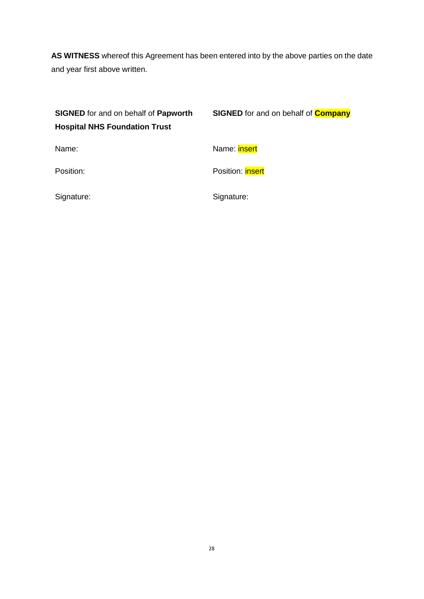**AS WITNESS** whereof this Agreement has been entered into by the above parties on the date and year first above written.

| <b>SIGNED</b> for and on behalf of <b>Papworth</b><br><b>Hospital NHS Foundation Trust</b> | <b>SIGNED</b> for and on behalf of <b>Company</b> |
|--------------------------------------------------------------------------------------------|---------------------------------------------------|
| Name:                                                                                      | Name: <b>insert</b>                               |
| Position:                                                                                  | Position: <b>insert</b>                           |
| Signature:                                                                                 | Signature:                                        |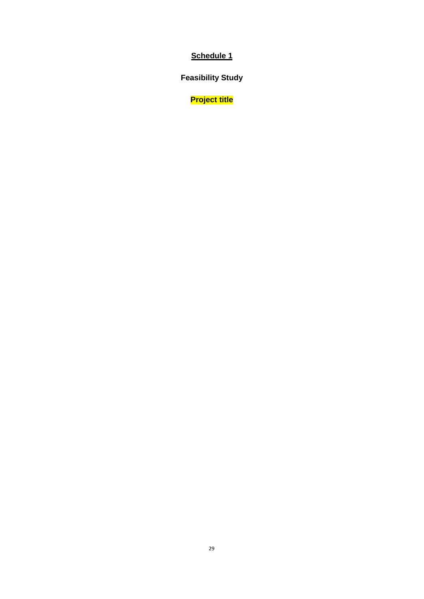**Feasibility Study**

**Project title**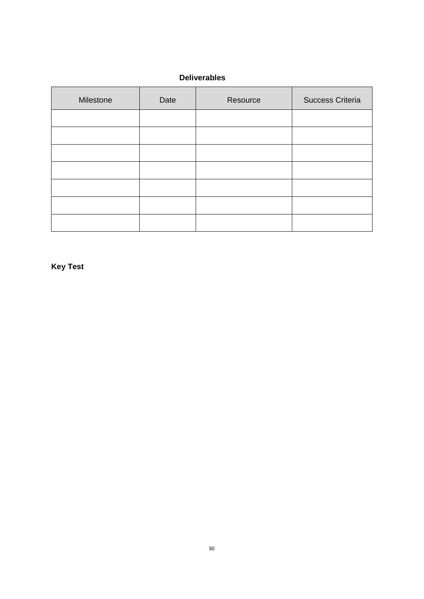## **Deliverables**

| Milestone | Date | Resource | Success Criteria |
|-----------|------|----------|------------------|
|           |      |          |                  |
|           |      |          |                  |
|           |      |          |                  |
|           |      |          |                  |
|           |      |          |                  |
|           |      |          |                  |
|           |      |          |                  |

**Key Test**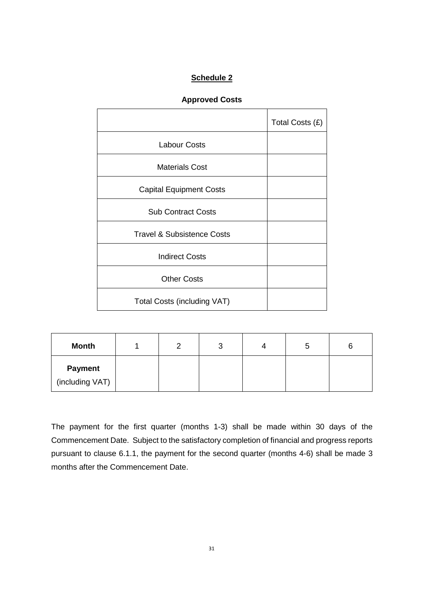# **Approved Costs**

|                                       | Total Costs (£) |
|---------------------------------------|-----------------|
| <b>Labour Costs</b>                   |                 |
| <b>Materials Cost</b>                 |                 |
| <b>Capital Equipment Costs</b>        |                 |
| <b>Sub Contract Costs</b>             |                 |
| <b>Travel &amp; Subsistence Costs</b> |                 |
| <b>Indirect Costs</b>                 |                 |
| <b>Other Costs</b>                    |                 |
| <b>Total Costs (including VAT)</b>    |                 |

| <b>Month</b>    |  |  |  |
|-----------------|--|--|--|
| <b>Payment</b>  |  |  |  |
| (including VAT) |  |  |  |

The payment for the first quarter (months 1-3) shall be made within 30 days of the Commencement Date. Subject to the satisfactory completion of financial and progress reports pursuant to clause 6.1.1, the payment for the second quarter (months 4-6) shall be made 3 months after the Commencement Date.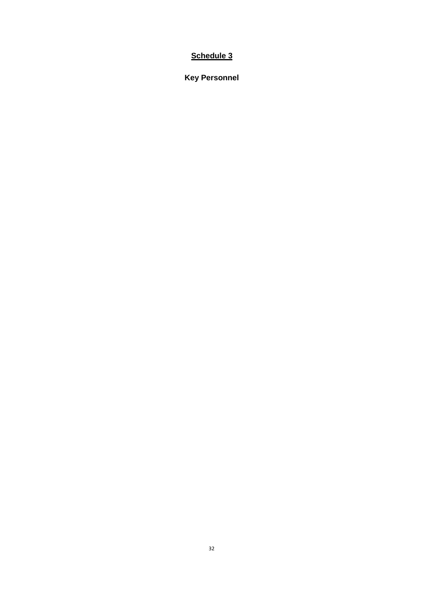**Key Personnel**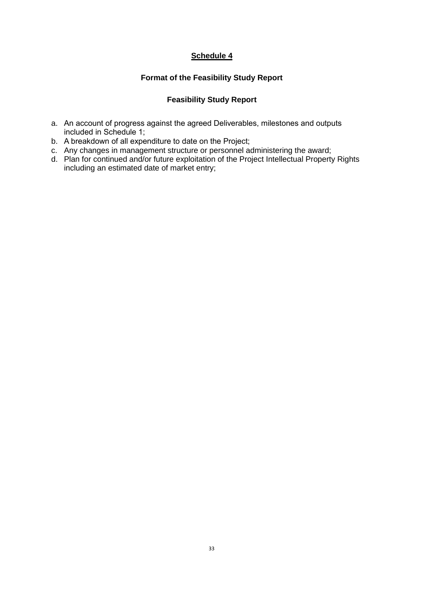## **Format of the Feasibility Study Report**

# **Feasibility Study Report**

- a. An account of progress against the agreed Deliverables, milestones and outputs included in Schedule 1;
- b. A breakdown of all expenditure to date on the Project;
- c. Any changes in management structure or personnel administering the award;
- d. Plan for continued and/or future exploitation of the Project Intellectual Property Rights including an estimated date of market entry;